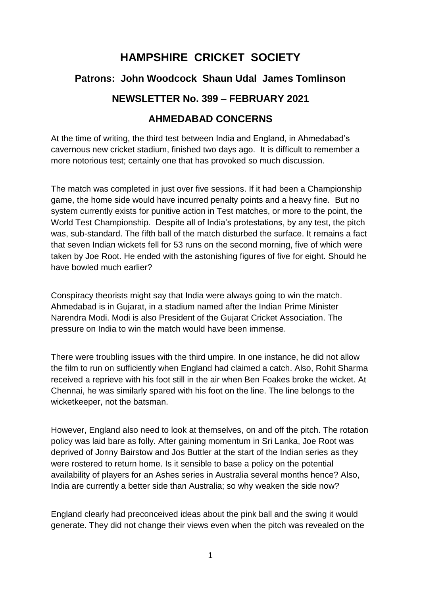# **HAMPSHIRE CRICKET SOCIETY**

# **Patrons: John Woodcock Shaun Udal James Tomlinson**

## **NEWSLETTER No. 399 – FEBRUARY 2021**

### **AHMEDABAD CONCERNS**

At the time of writing, the third test between India and England, in Ahmedabad's cavernous new cricket stadium, finished two days ago. It is difficult to remember a more notorious test; certainly one that has provoked so much discussion.

The match was completed in just over five sessions. If it had been a Championship game, the home side would have incurred penalty points and a heavy fine. But no system currently exists for punitive action in Test matches, or more to the point, the World Test Championship. Despite all of India's protestations, by any test, the pitch was, sub-standard. The fifth ball of the match disturbed the surface. It remains a fact that seven Indian wickets fell for 53 runs on the second morning, five of which were taken by Joe Root. He ended with the astonishing figures of five for eight. Should he have bowled much earlier?

Conspiracy theorists might say that India were always going to win the match. Ahmedabad is in Gujarat, in a stadium named after the Indian Prime Minister Narendra Modi. Modi is also President of the Gujarat Cricket Association. The pressure on India to win the match would have been immense.

There were troubling issues with the third umpire. In one instance, he did not allow the film to run on sufficiently when England had claimed a catch. Also, Rohit Sharma received a reprieve with his foot still in the air when Ben Foakes broke the wicket. At Chennai, he was similarly spared with his foot on the line. The line belongs to the wicketkeeper, not the batsman.

However, England also need to look at themselves, on and off the pitch. The rotation policy was laid bare as folly. After gaining momentum in Sri Lanka, Joe Root was deprived of Jonny Bairstow and Jos Buttler at the start of the Indian series as they were rostered to return home. Is it sensible to base a policy on the potential availability of players for an Ashes series in Australia several months hence? Also, India are currently a better side than Australia; so why weaken the side now?

England clearly had preconceived ideas about the pink ball and the swing it would generate. They did not change their views even when the pitch was revealed on the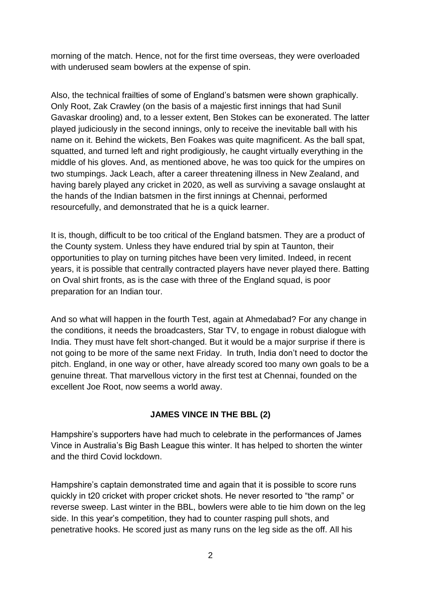morning of the match. Hence, not for the first time overseas, they were overloaded with underused seam bowlers at the expense of spin.

Also, the technical frailties of some of England's batsmen were shown graphically. Only Root, Zak Crawley (on the basis of a majestic first innings that had Sunil Gavaskar drooling) and, to a lesser extent, Ben Stokes can be exonerated. The latter played judiciously in the second innings, only to receive the inevitable ball with his name on it. Behind the wickets, Ben Foakes was quite magnificent. As the ball spat, squatted, and turned left and right prodigiously, he caught virtually everything in the middle of his gloves. And, as mentioned above, he was too quick for the umpires on two stumpings. Jack Leach, after a career threatening illness in New Zealand, and having barely played any cricket in 2020, as well as surviving a savage onslaught at the hands of the Indian batsmen in the first innings at Chennai, performed resourcefully, and demonstrated that he is a quick learner.

It is, though, difficult to be too critical of the England batsmen. They are a product of the County system. Unless they have endured trial by spin at Taunton, their opportunities to play on turning pitches have been very limited. Indeed, in recent years, it is possible that centrally contracted players have never played there. Batting on Oval shirt fronts, as is the case with three of the England squad, is poor preparation for an Indian tour.

And so what will happen in the fourth Test, again at Ahmedabad? For any change in the conditions, it needs the broadcasters, Star TV, to engage in robust dialogue with India. They must have felt short-changed. But it would be a major surprise if there is not going to be more of the same next Friday. In truth, India don't need to doctor the pitch. England, in one way or other, have already scored too many own goals to be a genuine threat. That marvellous victory in the first test at Chennai, founded on the excellent Joe Root, now seems a world away.

#### **JAMES VINCE IN THE BBL (2)**

Hampshire's supporters have had much to celebrate in the performances of James Vince in Australia's Big Bash League this winter. It has helped to shorten the winter and the third Covid lockdown.

Hampshire's captain demonstrated time and again that it is possible to score runs quickly in t20 cricket with proper cricket shots. He never resorted to "the ramp" or reverse sweep. Last winter in the BBL, bowlers were able to tie him down on the leg side. In this year's competition, they had to counter rasping pull shots, and penetrative hooks. He scored just as many runs on the leg side as the off. All his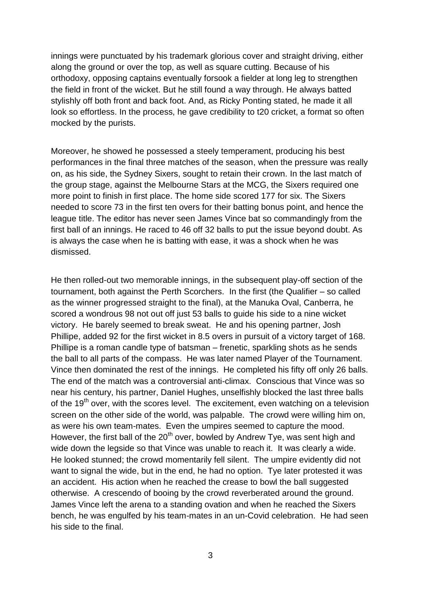innings were punctuated by his trademark glorious cover and straight driving, either along the ground or over the top, as well as square cutting. Because of his orthodoxy, opposing captains eventually forsook a fielder at long leg to strengthen the field in front of the wicket. But he still found a way through. He always batted stylishly off both front and back foot. And, as Ricky Ponting stated, he made it all look so effortless. In the process, he gave credibility to t20 cricket, a format so often mocked by the purists.

Moreover, he showed he possessed a steely temperament, producing his best performances in the final three matches of the season, when the pressure was really on, as his side, the Sydney Sixers, sought to retain their crown. In the last match of the group stage, against the Melbourne Stars at the MCG, the Sixers required one more point to finish in first place. The home side scored 177 for six. The Sixers needed to score 73 in the first ten overs for their batting bonus point, and hence the league title. The editor has never seen James Vince bat so commandingly from the first ball of an innings. He raced to 46 off 32 balls to put the issue beyond doubt. As is always the case when he is batting with ease, it was a shock when he was dismissed.

He then rolled-out two memorable innings, in the subsequent play-off section of the tournament, both against the Perth Scorchers. In the first (the Qualifier – so called as the winner progressed straight to the final), at the Manuka Oval, Canberra, he scored a wondrous 98 not out off just 53 balls to guide his side to a nine wicket victory. He barely seemed to break sweat. He and his opening partner, Josh Phillipe, added 92 for the first wicket in 8.5 overs in pursuit of a victory target of 168. Phillipe is a roman candle type of batsman – frenetic, sparkling shots as he sends the ball to all parts of the compass. He was later named Player of the Tournament. Vince then dominated the rest of the innings. He completed his fifty off only 26 balls. The end of the match was a controversial anti-climax. Conscious that Vince was so near his century, his partner, Daniel Hughes, unselfishly blocked the last three balls of the  $19<sup>th</sup>$  over, with the scores level. The excitement, even watching on a television screen on the other side of the world, was palpable. The crowd were willing him on, as were his own team-mates. Even the umpires seemed to capture the mood. However, the first ball of the 20<sup>th</sup> over, bowled by Andrew Tye, was sent high and wide down the legside so that Vince was unable to reach it. It was clearly a wide. He looked stunned; the crowd momentarily fell silent. The umpire evidently did not want to signal the wide, but in the end, he had no option. Tye later protested it was an accident. His action when he reached the crease to bowl the ball suggested otherwise. A crescendo of booing by the crowd reverberated around the ground. James Vince left the arena to a standing ovation and when he reached the Sixers bench, he was engulfed by his team-mates in an un-Covid celebration. He had seen his side to the final.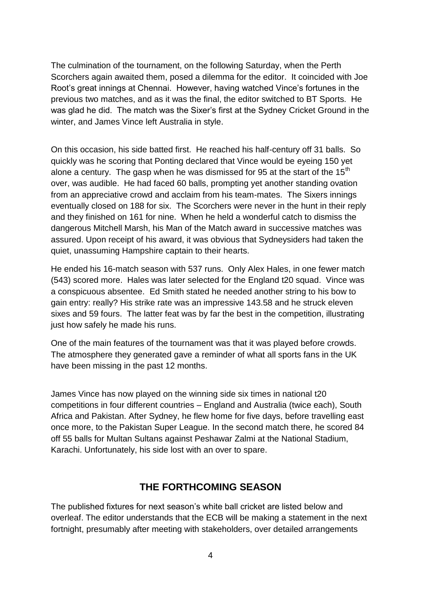The culmination of the tournament, on the following Saturday, when the Perth Scorchers again awaited them, posed a dilemma for the editor. It coincided with Joe Root's great innings at Chennai. However, having watched Vince's fortunes in the previous two matches, and as it was the final, the editor switched to BT Sports. He was glad he did. The match was the Sixer's first at the Sydney Cricket Ground in the winter, and James Vince left Australia in style.

On this occasion, his side batted first. He reached his half-century off 31 balls. So quickly was he scoring that Ponting declared that Vince would be eyeing 150 yet alone a century. The gasp when he was dismissed for 95 at the start of the 15<sup>th</sup> over, was audible. He had faced 60 balls, prompting yet another standing ovation from an appreciative crowd and acclaim from his team-mates. The Sixers innings eventually closed on 188 for six. The Scorchers were never in the hunt in their reply and they finished on 161 for nine. When he held a wonderful catch to dismiss the dangerous Mitchell Marsh, his Man of the Match award in successive matches was assured. Upon receipt of his award, it was obvious that Sydneysiders had taken the quiet, unassuming Hampshire captain to their hearts.

He ended his 16-match season with 537 runs. Only Alex Hales, in one fewer match (543) scored more. Hales was later selected for the England t20 squad. Vince was a conspicuous absentee. Ed Smith stated he needed another string to his bow to gain entry: really? His strike rate was an impressive 143.58 and he struck eleven sixes and 59 fours. The latter feat was by far the best in the competition, illustrating just how safely he made his runs.

One of the main features of the tournament was that it was played before crowds. The atmosphere they generated gave a reminder of what all sports fans in the UK have been missing in the past 12 months.

James Vince has now played on the winning side six times in national t20 competitions in four different countries – England and Australia (twice each), South Africa and Pakistan. After Sydney, he flew home for five days, before travelling east once more, to the Pakistan Super League. In the second match there, he scored 84 off 55 balls for Multan Sultans against Peshawar Zalmi at the National Stadium, Karachi. Unfortunately, his side lost with an over to spare.

## **THE FORTHCOMING SEASON**

The published fixtures for next season's white ball cricket are listed below and overleaf. The editor understands that the ECB will be making a statement in the next fortnight, presumably after meeting with stakeholders, over detailed arrangements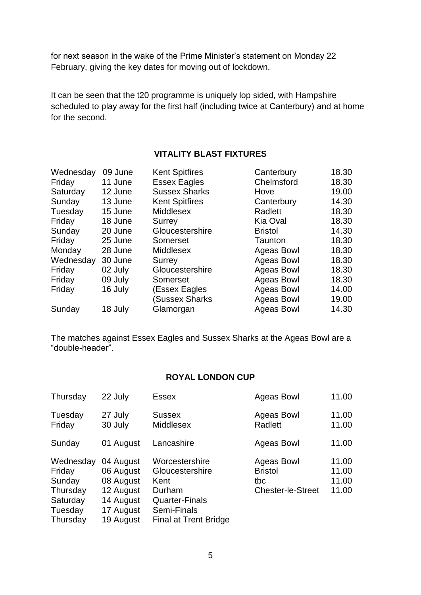for next season in the wake of the Prime Minister's statement on Monday 22 February, giving the key dates for moving out of lockdown.

It can be seen that the t20 programme is uniquely lop sided, with Hampshire scheduled to play away for the first half (including twice at Canterbury) and at home for the second.

#### **VITALITY BLAST FIXTURES**

| Wednesday | 09 June | <b>Kent Spitfires</b> | Canterbury        | 18.30 |
|-----------|---------|-----------------------|-------------------|-------|
| Friday    | 11 June | <b>Essex Eagles</b>   | Chelmsford        | 18.30 |
| Saturday  | 12 June | <b>Sussex Sharks</b>  | Hove              | 19.00 |
| Sunday    | 13 June | <b>Kent Spitfires</b> | Canterbury        | 14.30 |
| Tuesday   | 15 June | <b>Middlesex</b>      | Radlett           | 18.30 |
| Friday    | 18 June | Surrey                | Kia Oval          | 18.30 |
| Sunday    | 20 June | Gloucestershire       | <b>Bristol</b>    | 14.30 |
| Friday    | 25 June | Somerset              | Taunton           | 18.30 |
| Monday    | 28 June | <b>Middlesex</b>      | Ageas Bowl        | 18.30 |
| Wednesday | 30 June | Surrey                | <b>Ageas Bowl</b> | 18.30 |
| Friday    | 02 July | Gloucestershire       | <b>Ageas Bowl</b> | 18.30 |
| Friday    | 09 July | Somerset              | <b>Ageas Bowl</b> | 18.30 |
| Friday    | 16 July | (Essex Eagles         | <b>Ageas Bowl</b> | 14.00 |
|           |         | Sussex Sharks)        | Ageas Bowl        | 19.00 |
| Sunday    | 18 July | Glamorgan             | Ageas Bowl        | 14.30 |

The matches against Essex Eagles and Sussex Sharks at the Ageas Bowl are a "double-header".

#### **ROYAL LONDON CUP**

| Thursday                                                                     | 22 July                                                                                 | <b>Essex</b>                                                                                                         | <b>Ageas Bowl</b>                                               | 11.00                            |
|------------------------------------------------------------------------------|-----------------------------------------------------------------------------------------|----------------------------------------------------------------------------------------------------------------------|-----------------------------------------------------------------|----------------------------------|
| Tuesday<br>Friday                                                            | 27 July<br>30 July                                                                      | <b>Sussex</b><br><b>Middlesex</b>                                                                                    | Ageas Bowl<br>Radlett                                           | 11.00<br>11.00                   |
| Sunday                                                                       | 01 August                                                                               | Lancashire                                                                                                           | Ageas Bowl                                                      | 11.00                            |
| Wednesday<br>Friday<br>Sunday<br>Thursday<br>Saturday<br>Tuesday<br>Thursday | 04 August<br>06 August<br>08 August<br>12 August<br>14 August<br>17 August<br>19 August | Worcestershire<br>Gloucestershire<br>Kent<br>Durham<br><b>Quarter-Finals</b><br>Semi-Finals<br>Final at Trent Bridge | Ageas Bowl<br><b>Bristol</b><br>tbc<br><b>Chester-le-Street</b> | 11.00<br>11.00<br>11.00<br>11.00 |